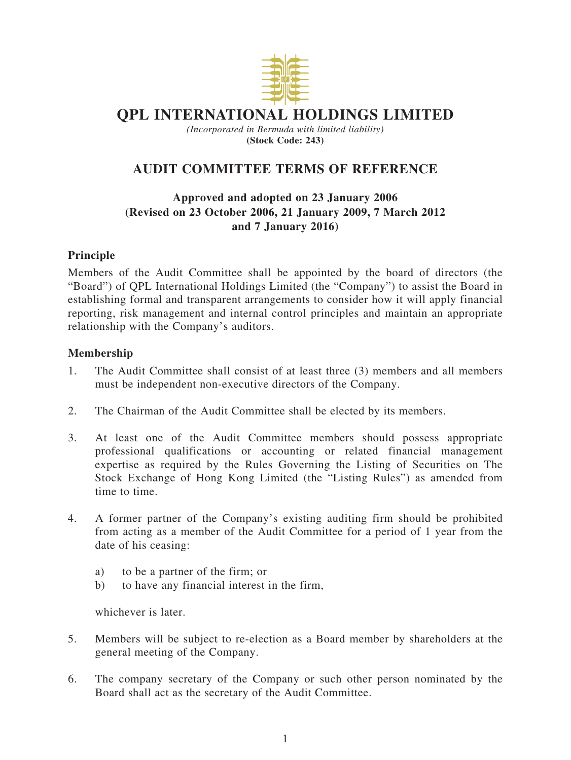

# **QPL INTERNATIONAL HOLDINGS LIMITED**

*(Incorporated in Bermuda with limited liability)* **(Stock Code: 243)**

## **AUDIT COMMITTEE TERMS OF REFERENCE**

## **Approved and adopted on 23 January 2006 (Revised on 23 October 2006, 21 January 2009, 7 March 2012 and 7 January 2016)**

#### **Principle**

Members of the Audit Committee shall be appointed by the board of directors (the "Board") of QPL International Holdings Limited (the "Company") to assist the Board in establishing formal and transparent arrangements to consider how it will apply financial reporting, risk management and internal control principles and maintain an appropriate relationship with the Company's auditors.

#### **Membership**

- 1. The Audit Committee shall consist of at least three (3) members and all members must be independent non-executive directors of the Company.
- 2. The Chairman of the Audit Committee shall be elected by its members.
- 3. At least one of the Audit Committee members should possess appropriate professional qualifications or accounting or related financial management expertise as required by the Rules Governing the Listing of Securities on The Stock Exchange of Hong Kong Limited (the "Listing Rules") as amended from time to time.
- 4. A former partner of the Company's existing auditing firm should be prohibited from acting as a member of the Audit Committee for a period of 1 year from the date of his ceasing:
	- a) to be a partner of the firm; or
	- b) to have any financial interest in the firm,

whichever is later.

- 5. Members will be subject to re-election as a Board member by shareholders at the general meeting of the Company.
- 6. The company secretary of the Company or such other person nominated by the Board shall act as the secretary of the Audit Committee.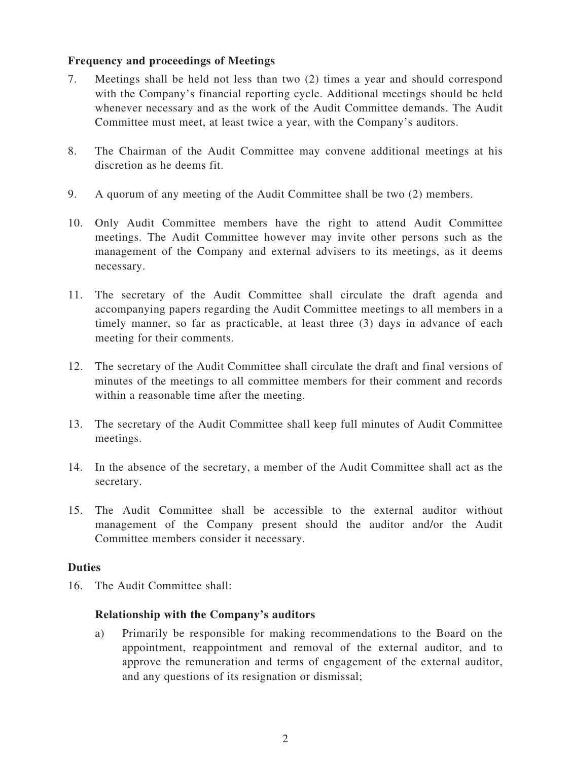#### **Frequency and proceedings of Meetings**

- 7. Meetings shall be held not less than two (2) times a year and should correspond with the Company's financial reporting cycle. Additional meetings should be held whenever necessary and as the work of the Audit Committee demands. The Audit Committee must meet, at least twice a year, with the Company's auditors.
- 8. The Chairman of the Audit Committee may convene additional meetings at his discretion as he deems fit.
- 9. A quorum of any meeting of the Audit Committee shall be two (2) members.
- 10. Only Audit Committee members have the right to attend Audit Committee meetings. The Audit Committee however may invite other persons such as the management of the Company and external advisers to its meetings, as it deems necessary.
- 11. The secretary of the Audit Committee shall circulate the draft agenda and accompanying papers regarding the Audit Committee meetings to all members in a timely manner, so far as practicable, at least three (3) days in advance of each meeting for their comments.
- 12. The secretary of the Audit Committee shall circulate the draft and final versions of minutes of the meetings to all committee members for their comment and records within a reasonable time after the meeting.
- 13. The secretary of the Audit Committee shall keep full minutes of Audit Committee meetings.
- 14. In the absence of the secretary, a member of the Audit Committee shall act as the secretary.
- 15. The Audit Committee shall be accessible to the external auditor without management of the Company present should the auditor and/or the Audit Committee members consider it necessary.

#### **Duties**

16. The Audit Committee shall:

#### **Relationship with the Company's auditors**

a) Primarily be responsible for making recommendations to the Board on the appointment, reappointment and removal of the external auditor, and to approve the remuneration and terms of engagement of the external auditor, and any questions of its resignation or dismissal;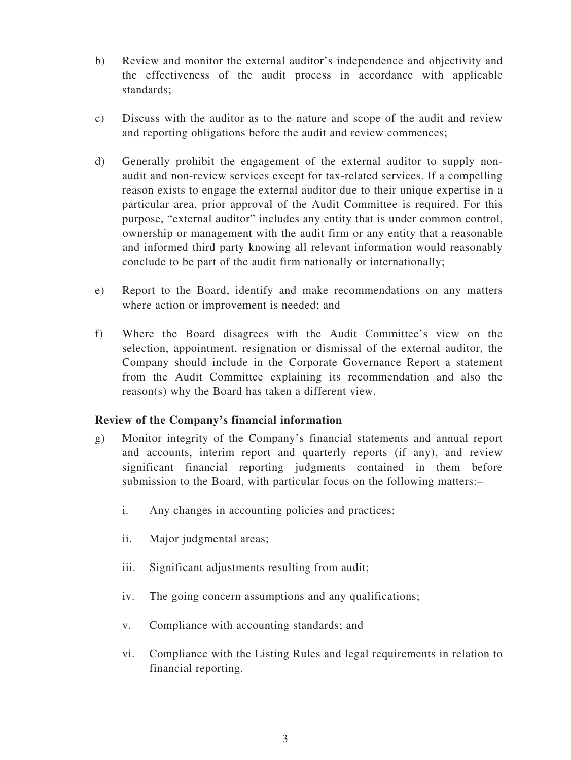- b) Review and monitor the external auditor's independence and objectivity and the effectiveness of the audit process in accordance with applicable standards;
- c) Discuss with the auditor as to the nature and scope of the audit and review and reporting obligations before the audit and review commences;
- d) Generally prohibit the engagement of the external auditor to supply nonaudit and non-review services except for tax-related services. If a compelling reason exists to engage the external auditor due to their unique expertise in a particular area, prior approval of the Audit Committee is required. For this purpose, "external auditor" includes any entity that is under common control, ownership or management with the audit firm or any entity that a reasonable and informed third party knowing all relevant information would reasonably conclude to be part of the audit firm nationally or internationally;
- e) Report to the Board, identify and make recommendations on any matters where action or improvement is needed; and
- f) Where the Board disagrees with the Audit Committee's view on the selection, appointment, resignation or dismissal of the external auditor, the Company should include in the Corporate Governance Report a statement from the Audit Committee explaining its recommendation and also the reason(s) why the Board has taken a different view.

#### **Review of the Company's financial information**

- g) Monitor integrity of the Company's financial statements and annual report and accounts, interim report and quarterly reports (if any), and review significant financial reporting judgments contained in them before submission to the Board, with particular focus on the following matters:–
	- i. Any changes in accounting policies and practices;
	- ii. Major judgmental areas;
	- iii. Significant adjustments resulting from audit;
	- iv. The going concern assumptions and any qualifications;
	- v. Compliance with accounting standards; and
	- vi. Compliance with the Listing Rules and legal requirements in relation to financial reporting.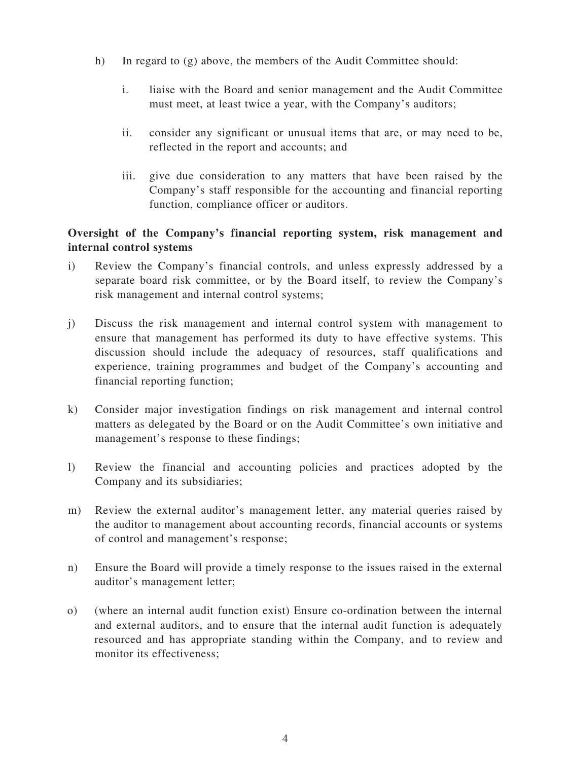- h) In regard to  $(g)$  above, the members of the Audit Committee should:
	- i. liaise with the Board and senior management and the Audit Committee must meet, at least twice a year, with the Company's auditors;
	- ii. consider any significant or unusual items that are, or may need to be, reflected in the report and accounts; and
	- iii. give due consideration to any matters that have been raised by the Company's staff responsible for the accounting and financial reporting function, compliance officer or auditors.

## **Oversight of the Company's financial reporting system, risk management and internal control systems**

- i) Review the Company's financial controls, and unless expressly addressed by a separate board risk committee, or by the Board itself, to review the Company's risk management and internal control systems;
- j) Discuss the risk management and internal control system with management to ensure that management has performed its duty to have effective systems. This discussion should include the adequacy of resources, staff qualifications and experience, training programmes and budget of the Company's accounting and financial reporting function;
- k) Consider major investigation findings on risk management and internal control matters as delegated by the Board or on the Audit Committee's own initiative and management's response to these findings;
- l) Review the financial and accounting policies and practices adopted by the Company and its subsidiaries;
- m) Review the external auditor's management letter, any material queries raised by the auditor to management about accounting records, financial accounts or systems of control and management's response;
- n) Ensure the Board will provide a timely response to the issues raised in the external auditor's management letter;
- o) (where an internal audit function exist) Ensure co-ordination between the internal and external auditors, and to ensure that the internal audit function is adequately resourced and has appropriate standing within the Company, and to review and monitor its effectiveness;